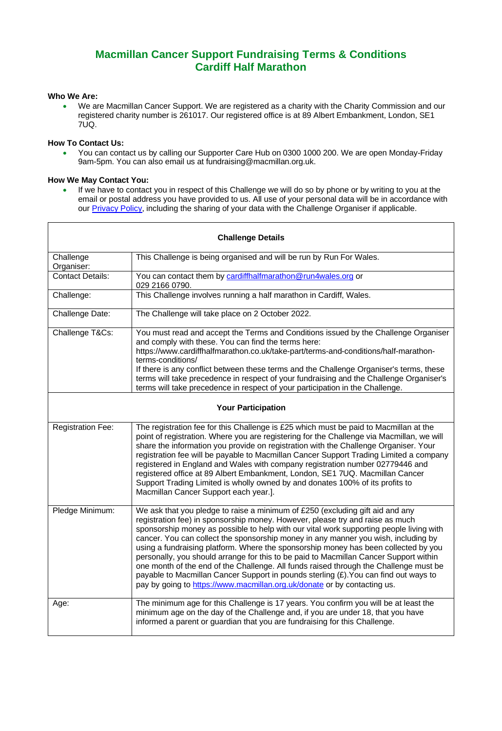# **Macmillan Cancer Support Fundraising Terms & Conditions Cardiff Half Marathon**

## **Who We Are:**

• We are Macmillan Cancer Support. We are registered as a charity with the Charity Commission and our registered charity number is 261017. Our registered office is at 89 Albert Embankment, London, SE1 7UQ.

## **How To Contact Us:**

• You can contact us by calling our Supporter Care Hub on 0300 1000 200. We are open Monday-Friday 9am-5pm. You can also email us at fundraising@macmillan.org.uk.

#### **How We May Contact You:**

• If we have to contact you in respect of this Challenge we will do so by phone or by writing to you at the email or postal address you have provided to us. All use of your personal data will be in accordance with our [Privacy Policy,](https://www.macmillan.org.uk/terms-and-conditions/privacy-policy.html#345244) including the sharing of your data with the Challenge Organiser if applicable.

Ĩ.

| <b>Challenge Details</b>  |                                                                                                                                                                                                                                                                                                                                                                                                                                                                                                                                                                                                                                                                                                                                                                                              |
|---------------------------|----------------------------------------------------------------------------------------------------------------------------------------------------------------------------------------------------------------------------------------------------------------------------------------------------------------------------------------------------------------------------------------------------------------------------------------------------------------------------------------------------------------------------------------------------------------------------------------------------------------------------------------------------------------------------------------------------------------------------------------------------------------------------------------------|
| Challenge<br>Organiser:   | This Challenge is being organised and will be run by Run For Wales.                                                                                                                                                                                                                                                                                                                                                                                                                                                                                                                                                                                                                                                                                                                          |
| <b>Contact Details:</b>   | You can contact them by cardiffhalfmarathon@run4wales.org or<br>029 2166 0790.                                                                                                                                                                                                                                                                                                                                                                                                                                                                                                                                                                                                                                                                                                               |
| Challenge:                | This Challenge involves running a half marathon in Cardiff, Wales.                                                                                                                                                                                                                                                                                                                                                                                                                                                                                                                                                                                                                                                                                                                           |
| Challenge Date:           | The Challenge will take place on 2 October 2022.                                                                                                                                                                                                                                                                                                                                                                                                                                                                                                                                                                                                                                                                                                                                             |
| Challenge T&Cs:           | You must read and accept the Terms and Conditions issued by the Challenge Organiser<br>and comply with these. You can find the terms here:<br>https://www.cardiffhalfmarathon.co.uk/take-part/terms-and-conditions/half-marathon-<br>terms-conditions/<br>If there is any conflict between these terms and the Challenge Organiser's terms, these<br>terms will take precedence in respect of your fundraising and the Challenge Organiser's<br>terms will take precedence in respect of your participation in the Challenge.                                                                                                                                                                                                                                                                |
| <b>Your Participation</b> |                                                                                                                                                                                                                                                                                                                                                                                                                                                                                                                                                                                                                                                                                                                                                                                              |
| <b>Registration Fee:</b>  | The registration fee for this Challenge is £25 which must be paid to Macmillan at the<br>point of registration. Where you are registering for the Challenge via Macmillan, we will<br>share the information you provide on registration with the Challenge Organiser. Your<br>registration fee will be payable to Macmillan Cancer Support Trading Limited a company<br>registered in England and Wales with company registration number 02779446 and<br>registered office at 89 Albert Embankment, London, SE1 7UQ. Macmillan Cancer<br>Support Trading Limited is wholly owned by and donates 100% of its profits to<br>Macmillan Cancer Support each year.].                                                                                                                              |
| Pledge Minimum:           | We ask that you pledge to raise a minimum of £250 (excluding gift aid and any<br>registration fee) in sponsorship money. However, please try and raise as much<br>sponsorship money as possible to help with our vital work supporting people living with<br>cancer. You can collect the sponsorship money in any manner you wish, including by<br>using a fundraising platform. Where the sponsorship money has been collected by you<br>personally, you should arrange for this to be paid to Macmillan Cancer Support within<br>one month of the end of the Challenge. All funds raised through the Challenge must be<br>payable to Macmillan Cancer Support in pounds sterling (£). You can find out ways to<br>pay by going to https://www.macmillan.org.uk/donate or by contacting us. |
| Age:                      | The minimum age for this Challenge is 17 years. You confirm you will be at least the<br>minimum age on the day of the Challenge and, if you are under 18, that you have<br>informed a parent or guardian that you are fundraising for this Challenge.                                                                                                                                                                                                                                                                                                                                                                                                                                                                                                                                        |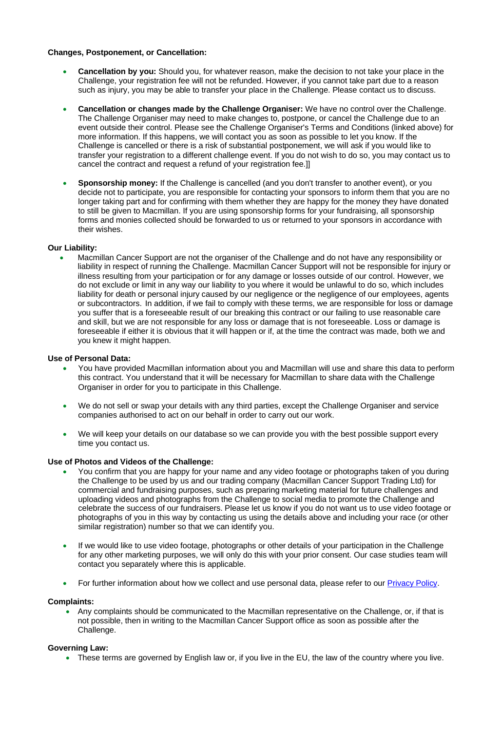## **Changes, Postponement, or Cancellation:**

- **Cancellation by you:** Should you, for whatever reason, make the decision to not take your place in the Challenge, your registration fee will not be refunded. However, if you cannot take part due to a reason such as injury, you may be able to transfer your place in the Challenge. Please contact us to discuss.
- **Cancellation or changes made by the Challenge Organiser:** We have no control over the Challenge. The Challenge Organiser may need to make changes to, postpone, or cancel the Challenge due to an event outside their control. Please see the Challenge Organiser's Terms and Conditions (linked above) for more information. If this happens, we will contact you as soon as possible to let you know. If the Challenge is cancelled or there is a risk of substantial postponement, we will ask if you would like to transfer your registration to a different challenge event. If you do not wish to do so, you may contact us to cancel the contract and request a refund of your registration fee.]]
- **Sponsorship money:** If the Challenge is cancelled (and you don't transfer to another event), or you decide not to participate, you are responsible for contacting your sponsors to inform them that you are no longer taking part and for confirming with them whether they are happy for the money they have donated to still be given to Macmillan. If you are using sponsorship forms for your fundraising, all sponsorship forms and monies collected should be forwarded to us or returned to your sponsors in accordance with their wishes.

## **Our Liability:**

• Macmillan Cancer Support are not the organiser of the Challenge and do not have any responsibility or liability in respect of running the Challenge. Macmillan Cancer Support will not be responsible for injury or illness resulting from your participation or for any damage or losses outside of our control. However, we do not exclude or limit in any way our liability to you where it would be unlawful to do so, which includes liability for death or personal injury caused by our negligence or the negligence of our employees, agents or subcontractors. In addition, if we fail to comply with these terms, we are responsible for loss or damage you suffer that is a foreseeable result of our breaking this contract or our failing to use reasonable care and skill, but we are not responsible for any loss or damage that is not foreseeable. Loss or damage is foreseeable if either it is obvious that it will happen or if, at the time the contract was made, both we and you knew it might happen.

#### **Use of Personal Data:**

- You have provided Macmillan information about you and Macmillan will use and share this data to perform this contract. You understand that it will be necessary for Macmillan to share data with the Challenge Organiser in order for you to participate in this Challenge.
- We do not sell or swap your details with any third parties, except the Challenge Organiser and service companies authorised to act on our behalf in order to carry out our work.
- We will keep your details on our database so we can provide you with the best possible support every time you contact us.

#### **Use of Photos and Videos of the Challenge:**

- You confirm that you are happy for your name and any video footage or photographs taken of you during the Challenge to be used by us and our trading company (Macmillan Cancer Support Trading Ltd) for commercial and fundraising purposes, such as preparing marketing material for future challenges and uploading videos and photographs from the Challenge to social media to promote the Challenge and celebrate the success of our fundraisers. Please let us know if you do not want us to use video footage or photographs of you in this way by contacting us using the details above and including your race (or other similar registration) number so that we can identify you.
- If we would like to use video footage, photographs or other details of your participation in the Challenge for any other marketing purposes, we will only do this with your prior consent. Our case studies team will contact you separately where this is applicable.
- For further information about how we collect and use personal data, please refer to our **Privacy Policy**.

#### **Complaints:**

• Any complaints should be communicated to the Macmillan representative on the Challenge, or, if that is not possible, then in writing to the Macmillan Cancer Support office as soon as possible after the Challenge.

#### **Governing Law:**

• These terms are governed by English law or, if you live in the EU, the law of the country where you live.